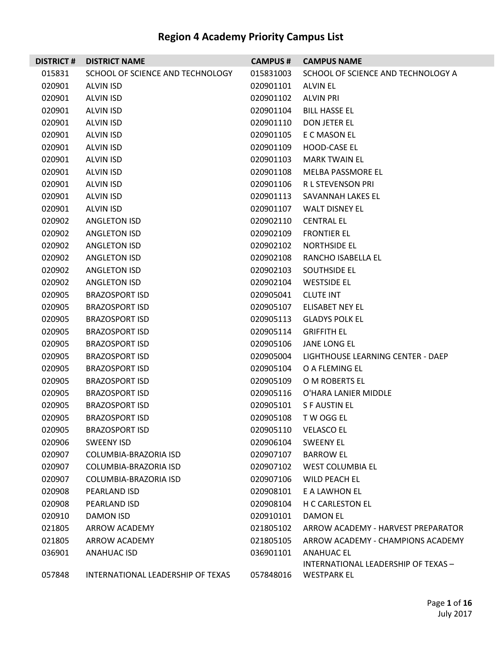| <b>DISTRICT#</b> | <b>DISTRICT NAME</b>              | <b>CAMPUS#</b> | <b>CAMPUS NAME</b>                  |
|------------------|-----------------------------------|----------------|-------------------------------------|
| 015831           | SCHOOL OF SCIENCE AND TECHNOLOGY  | 015831003      | SCHOOL OF SCIENCE AND TECHNOLOGY A  |
| 020901           | <b>ALVIN ISD</b>                  | 020901101      | <b>ALVIN EL</b>                     |
| 020901           | ALVIN ISD                         | 020901102      | <b>ALVIN PRI</b>                    |
| 020901           | ALVIN ISD                         | 020901104      | <b>BILL HASSE EL</b>                |
| 020901           | ALVIN ISD                         | 020901110      | DON JETER EL                        |
| 020901           | <b>ALVIN ISD</b>                  | 020901105      | E C MASON EL                        |
| 020901           | ALVIN ISD                         | 020901109      | HOOD-CASE EL                        |
| 020901           | ALVIN ISD                         | 020901103      | <b>MARK TWAIN EL</b>                |
| 020901           | ALVIN ISD                         | 020901108      | MELBA PASSMORE EL                   |
| 020901           | ALVIN ISD                         | 020901106      | <b>RL STEVENSON PRI</b>             |
| 020901           | ALVIN ISD                         | 020901113      | SAVANNAH LAKES EL                   |
| 020901           | ALVIN ISD                         | 020901107      | <b>WALT DISNEY EL</b>               |
| 020902           | <b>ANGLETON ISD</b>               | 020902110      | <b>CENTRAL EL</b>                   |
| 020902           | <b>ANGLETON ISD</b>               | 020902109      | <b>FRONTIER EL</b>                  |
| 020902           | <b>ANGLETON ISD</b>               | 020902102      | NORTHSIDE EL                        |
| 020902           | ANGLETON ISD                      | 020902108      | RANCHO ISABELLA EL                  |
| 020902           | <b>ANGLETON ISD</b>               | 020902103      | SOUTHSIDE EL                        |
| 020902           | <b>ANGLETON ISD</b>               | 020902104      | <b>WESTSIDE EL</b>                  |
| 020905           | <b>BRAZOSPORT ISD</b>             | 020905041      | <b>CLUTE INT</b>                    |
| 020905           | <b>BRAZOSPORT ISD</b>             | 020905107      | ELISABET NEY EL                     |
| 020905           | <b>BRAZOSPORT ISD</b>             | 020905113      | <b>GLADYS POLK EL</b>               |
| 020905           | <b>BRAZOSPORT ISD</b>             | 020905114      | <b>GRIFFITH EL</b>                  |
| 020905           | <b>BRAZOSPORT ISD</b>             | 020905106      | JANE LONG EL                        |
| 020905           | <b>BRAZOSPORT ISD</b>             | 020905004      | LIGHTHOUSE LEARNING CENTER - DAEP   |
| 020905           | <b>BRAZOSPORT ISD</b>             | 020905104      | O A FLEMING EL                      |
| 020905           | <b>BRAZOSPORT ISD</b>             | 020905109      | O M ROBERTS EL                      |
| 020905           | <b>BRAZOSPORT ISD</b>             | 020905116      | O'HARA LANIER MIDDLE                |
| 020905           | <b>BRAZOSPORT ISD</b>             | 020905101      | S F AUSTIN EL                       |
| 020905           | BRAZOSPORT ISD                    |                | 020905108 TW OGG EL                 |
| 020905           | <b>BRAZOSPORT ISD</b>             | 020905110      | <b>VELASCO EL</b>                   |
| 020906           | <b>SWEENY ISD</b>                 | 020906104      | <b>SWEENY EL</b>                    |
| 020907           | COLUMBIA-BRAZORIA ISD             | 020907107      | <b>BARROW EL</b>                    |
| 020907           | COLUMBIA-BRAZORIA ISD             | 020907102      | WEST COLUMBIA EL                    |
| 020907           | COLUMBIA-BRAZORIA ISD             | 020907106      | WILD PEACH EL                       |
| 020908           | PEARLAND ISD                      | 020908101      | E A LAWHON EL                       |
| 020908           | PEARLAND ISD                      | 020908104      | <b>H C CARLESTON EL</b>             |
| 020910           | DAMON ISD                         | 020910101      | DAMON EL                            |
| 021805           | ARROW ACADEMY                     | 021805102      | ARROW ACADEMY - HARVEST PREPARATOR  |
| 021805           | ARROW ACADEMY                     | 021805105      | ARROW ACADEMY - CHAMPIONS ACADEMY   |
| 036901           | ANAHUAC ISD                       | 036901101      | <b>ANAHUAC EL</b>                   |
|                  |                                   |                | INTERNATIONAL LEADERSHIP OF TEXAS - |
| 057848           | INTERNATIONAL LEADERSHIP OF TEXAS | 057848016      | <b>WESTPARK EL</b>                  |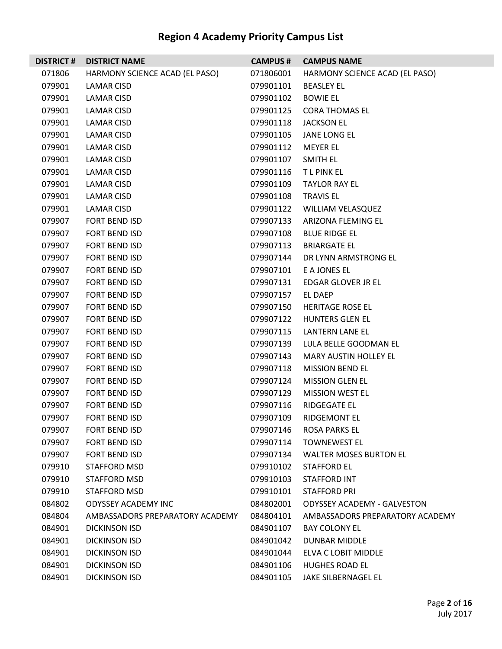| <b>DISTRICT#</b> | <b>DISTRICT NAME</b>            | <b>CAMPUS#</b> | <b>CAMPUS NAME</b>                 |
|------------------|---------------------------------|----------------|------------------------------------|
| 071806           | HARMONY SCIENCE ACAD (EL PASO)  | 071806001      | HARMONY SCIENCE ACAD (EL PASO)     |
| 079901           | LAMAR CISD                      | 079901101      | <b>BEASLEY EL</b>                  |
| 079901           | LAMAR CISD                      | 079901102      | <b>BOWIE EL</b>                    |
| 079901           | LAMAR CISD                      | 079901125      | <b>CORA THOMAS EL</b>              |
| 079901           | LAMAR CISD                      | 079901118      | <b>JACKSON EL</b>                  |
| 079901           | LAMAR CISD                      | 079901105      | JANE LONG EL                       |
| 079901           | LAMAR CISD                      | 079901112      | <b>MEYER EL</b>                    |
| 079901           | LAMAR CISD                      | 079901107      | SMITH EL                           |
| 079901           | LAMAR CISD                      | 079901116      | <b>TLPINKEL</b>                    |
| 079901           | LAMAR CISD                      | 079901109      | <b>TAYLOR RAY EL</b>               |
| 079901           | LAMAR CISD                      | 079901108      | <b>TRAVIS EL</b>                   |
| 079901           | LAMAR CISD                      | 079901122      | <b>WILLIAM VELASQUEZ</b>           |
| 079907           | FORT BEND ISD                   | 079907133      | ARIZONA FLEMING EL                 |
| 079907           | FORT BEND ISD                   | 079907108      | <b>BLUE RIDGE EL</b>               |
| 079907           | FORT BEND ISD                   | 079907113      | <b>BRIARGATE EL</b>                |
| 079907           | FORT BEND ISD                   | 079907144      | DR LYNN ARMSTRONG EL               |
| 079907           | <b>FORT BEND ISD</b>            | 079907101      | E A JONES EL                       |
| 079907           | FORT BEND ISD                   | 079907131      | EDGAR GLOVER JR EL                 |
| 079907           | FORT BEND ISD                   | 079907157      | EL DAEP                            |
| 079907           | FORT BEND ISD                   | 079907150      | <b>HERITAGE ROSE EL</b>            |
| 079907           | FORT BEND ISD                   | 079907122      | <b>HUNTERS GLEN EL</b>             |
| 079907           | FORT BEND ISD                   | 079907115      | <b>LANTERN LANE EL</b>             |
| 079907           | FORT BEND ISD                   | 079907139      | LULA BELLE GOODMAN EL              |
| 079907           | FORT BEND ISD                   | 079907143      | <b>MARY AUSTIN HOLLEY EL</b>       |
| 079907           | FORT BEND ISD                   | 079907118      | <b>MISSION BEND EL</b>             |
| 079907           | FORT BEND ISD                   | 079907124      | <b>MISSION GLEN EL</b>             |
| 079907           | <b>FORT BEND ISD</b>            | 079907129      | <b>MISSION WEST EL</b>             |
| 079907           | FORT BEND ISD                   | 079907116      | RIDGEGATE EL                       |
| 079907           | <b>FORT BEND ISD</b>            | 079907109      | RIDGEMONT EL                       |
| 079907           | FORT BEND ISD                   | 079907146      | <b>ROSA PARKS EL</b>               |
| 079907           | <b>FORT BEND ISD</b>            | 079907114      | <b>TOWNEWEST EL</b>                |
| 079907           | <b>FORT BEND ISD</b>            | 079907134      | <b>WALTER MOSES BURTON EL</b>      |
| 079910           | <b>STAFFORD MSD</b>             | 079910102      | <b>STAFFORD EL</b>                 |
| 079910           | STAFFORD MSD                    | 079910103      | STAFFORD INT                       |
| 079910           | STAFFORD MSD                    | 079910101      | <b>STAFFORD PRI</b>                |
| 084802           | <b>ODYSSEY ACADEMY INC</b>      | 084802001      | <b>ODYSSEY ACADEMY - GALVESTON</b> |
| 084804           | AMBASSADORS PREPARATORY ACADEMY | 084804101      | AMBASSADORS PREPARATORY ACADEMY    |
| 084901           | <b>DICKINSON ISD</b>            | 084901107      | <b>BAY COLONY EL</b>               |
| 084901           | <b>DICKINSON ISD</b>            | 084901042      | DUNBAR MIDDLE                      |
| 084901           | DICKINSON ISD                   | 084901044      | ELVA C LOBIT MIDDLE                |
| 084901           | <b>DICKINSON ISD</b>            | 084901106      | <b>HUGHES ROAD EL</b>              |
| 084901           | <b>DICKINSON ISD</b>            | 084901105      | JAKE SILBERNAGEL EL                |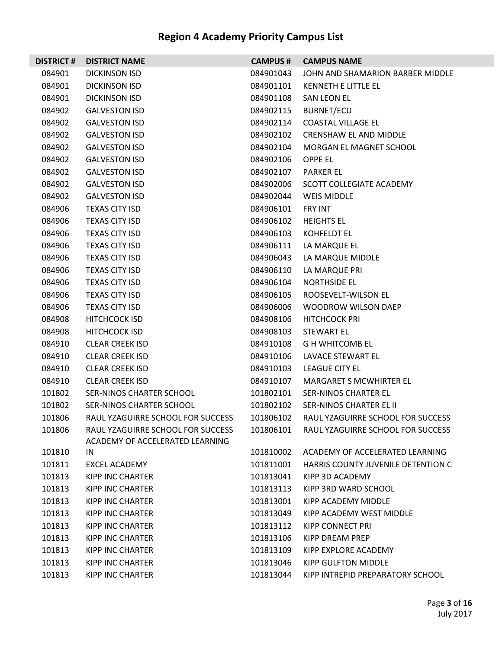| <b>DISTRICT#</b> | <b>DISTRICT NAME</b>                                                 | <b>CAMPUS#</b> | <b>CAMPUS NAME</b>                 |
|------------------|----------------------------------------------------------------------|----------------|------------------------------------|
| 084901           | <b>DICKINSON ISD</b>                                                 | 084901043      | JOHN AND SHAMARION BARBER MIDDLE   |
| 084901           | DICKINSON ISD                                                        | 084901101      | KENNETH E LITTLE EL                |
| 084901           | <b>DICKINSON ISD</b>                                                 | 084901108      | SAN LEON EL                        |
| 084902           | <b>GALVESTON ISD</b>                                                 | 084902115      | BURNET/ECU                         |
| 084902           | <b>GALVESTON ISD</b>                                                 | 084902114      | <b>COASTAL VILLAGE EL</b>          |
| 084902           | <b>GALVESTON ISD</b>                                                 | 084902102      | <b>CRENSHAW EL AND MIDDLE</b>      |
| 084902           | <b>GALVESTON ISD</b>                                                 | 084902104      | MORGAN EL MAGNET SCHOOL            |
| 084902           | <b>GALVESTON ISD</b>                                                 | 084902106      | OPPE EL                            |
| 084902           | <b>GALVESTON ISD</b>                                                 | 084902107      | <b>PARKER EL</b>                   |
| 084902           | <b>GALVESTON ISD</b>                                                 | 084902006      | SCOTT COLLEGIATE ACADEMY           |
| 084902           | <b>GALVESTON ISD</b>                                                 | 084902044      | <b>WEIS MIDDLE</b>                 |
| 084906           | <b>TEXAS CITY ISD</b>                                                | 084906101      | <b>FRY INT</b>                     |
| 084906           | <b>TEXAS CITY ISD</b>                                                | 084906102      | <b>HEIGHTS EL</b>                  |
| 084906           | <b>TEXAS CITY ISD</b>                                                | 084906103      | <b>KOHFELDT EL</b>                 |
| 084906           | <b>TEXAS CITY ISD</b>                                                | 084906111      | LA MARQUE EL                       |
| 084906           | <b>TEXAS CITY ISD</b>                                                | 084906043      | LA MARQUE MIDDLE                   |
| 084906           | <b>TEXAS CITY ISD</b>                                                | 084906110      | LA MARQUE PRI                      |
| 084906           | <b>TEXAS CITY ISD</b>                                                | 084906104      | <b>NORTHSIDE EL</b>                |
| 084906           | <b>TEXAS CITY ISD</b>                                                | 084906105      | ROOSEVELT-WILSON EL                |
| 084906           | <b>TEXAS CITY ISD</b>                                                | 084906006      | <b>WOODROW WILSON DAEP</b>         |
| 084908           | <b>HITCHCOCK ISD</b>                                                 | 084908106      | <b>HITCHCOCK PRI</b>               |
| 084908           | <b>HITCHCOCK ISD</b>                                                 | 084908103      | <b>STEWART EL</b>                  |
| 084910           | <b>CLEAR CREEK ISD</b>                                               | 084910108      | <b>G H WHITCOMB EL</b>             |
| 084910           | <b>CLEAR CREEK ISD</b>                                               | 084910106      | LAVACE STEWART EL                  |
| 084910           | <b>CLEAR CREEK ISD</b>                                               | 084910103      | <b>LEAGUE CITY EL</b>              |
| 084910           | <b>CLEAR CREEK ISD</b>                                               | 084910107      | <b>MARGARET S MCWHIRTER EL</b>     |
| 101802           | SER-NINOS CHARTER SCHOOL                                             | 101802101      | <b>SER-NINOS CHARTER EL</b>        |
| 101802           | SER-NINOS CHARTER SCHOOL                                             | 101802102      | SER-NINOS CHARTER EL II            |
| 101806           | RAUL YZAGUIRRE SCHOOL FOR SUCCESS                                    | 101806102      | RAUL YZAGUIRRE SCHOOL FOR SUCCESS  |
| 101806           | RAUL YZAGUIRRE SCHOOL FOR SUCCESS<br>ACADEMY OF ACCELERATED LEARNING | 101806101      | RAUL YZAGUIRRE SCHOOL FOR SUCCESS  |
| 101810           | IN.                                                                  | 101810002      | ACADEMY OF ACCELERATED LEARNING    |
| 101811           | <b>EXCEL ACADEMY</b>                                                 | 101811001      | HARRIS COUNTY JUVENILE DETENTION C |
| 101813           | <b>KIPP INC CHARTER</b>                                              | 101813041      | KIPP 3D ACADEMY                    |
| 101813           | KIPP INC CHARTER                                                     | 101813113      | KIPP 3RD WARD SCHOOL               |
| 101813           | <b>KIPP INC CHARTER</b>                                              | 101813001      | KIPP ACADEMY MIDDLE                |
| 101813           | KIPP INC CHARTER                                                     | 101813049      | KIPP ACADEMY WEST MIDDLE           |
| 101813           | <b>KIPP INC CHARTER</b>                                              | 101813112      | KIPP CONNECT PRI                   |
| 101813           | KIPP INC CHARTER                                                     | 101813106      | KIPP DREAM PREP                    |
| 101813           | <b>KIPP INC CHARTER</b>                                              | 101813109      | KIPP EXPLORE ACADEMY               |
| 101813           | <b>KIPP INC CHARTER</b>                                              | 101813046      | KIPP GULFTON MIDDLE                |
| 101813           | <b>KIPP INC CHARTER</b>                                              | 101813044      | KIPP INTREPID PREPARATORY SCHOOL   |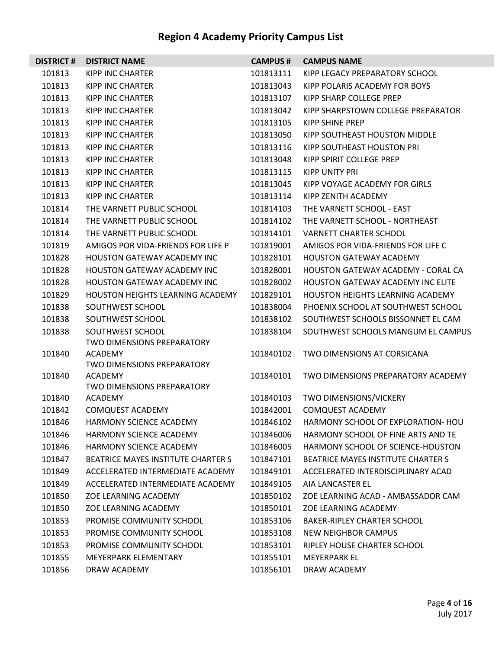| <b>DISTRICT#</b> | <b>DISTRICT NAME</b>                                | <b>CAMPUS#</b> | <b>CAMPUS NAME</b>                           |
|------------------|-----------------------------------------------------|----------------|----------------------------------------------|
| 101813           | <b>KIPP INC CHARTER</b>                             | 101813111      | KIPP LEGACY PREPARATORY SCHOOL               |
| 101813           | <b>KIPP INC CHARTER</b>                             | 101813043      | KIPP POLARIS ACADEMY FOR BOYS                |
| 101813           | KIPP INC CHARTER                                    | 101813107      | KIPP SHARP COLLEGE PREP                      |
| 101813           | KIPP INC CHARTER                                    | 101813042      | KIPP SHARPSTOWN COLLEGE PREPARATOR           |
| 101813           | KIPP INC CHARTER                                    | 101813105      | KIPP SHINE PREP                              |
| 101813           | <b>KIPP INC CHARTER</b>                             | 101813050      | KIPP SOUTHEAST HOUSTON MIDDLE                |
| 101813           | KIPP INC CHARTER                                    | 101813116      | KIPP SOUTHEAST HOUSTON PRI                   |
| 101813           | KIPP INC CHARTER                                    | 101813048      | KIPP SPIRIT COLLEGE PREP                     |
| 101813           | KIPP INC CHARTER                                    | 101813115      | KIPP UNITY PRI                               |
| 101813           | <b>KIPP INC CHARTER</b>                             | 101813045      | KIPP VOYAGE ACADEMY FOR GIRLS                |
| 101813           | KIPP INC CHARTER                                    | 101813114      | KIPP ZENITH ACADEMY                          |
| 101814           | THE VARNETT PUBLIC SCHOOL                           | 101814103      | THE VARNETT SCHOOL - EAST                    |
| 101814           | THE VARNETT PUBLIC SCHOOL                           | 101814102      | THE VARNETT SCHOOL - NORTHEAST               |
| 101814           | THE VARNETT PUBLIC SCHOOL                           | 101814101      | <b>VARNETT CHARTER SCHOOL</b>                |
| 101819           | AMIGOS POR VIDA-FRIENDS FOR LIFE P                  | 101819001      | AMIGOS POR VIDA-FRIENDS FOR LIFE C           |
| 101828           | HOUSTON GATEWAY ACADEMY INC                         | 101828101      | <b>HOUSTON GATEWAY ACADEMY</b>               |
| 101828           | HOUSTON GATEWAY ACADEMY INC                         | 101828001      | <b>HOUSTON GATEWAY ACADEMY - CORAL CA</b>    |
| 101828           | <b>HOUSTON GATEWAY ACADEMY INC</b>                  | 101828002      | <b>HOUSTON GATEWAY ACADEMY INC ELITE</b>     |
| 101829           | <b>HOUSTON HEIGHTS LEARNING ACADEMY</b>             | 101829101      | <b>HOUSTON HEIGHTS LEARNING ACADEMY</b>      |
| 101838           | SOUTHWEST SCHOOL                                    | 101838004      | PHOENIX SCHOOL AT SOUTHWEST SCHOOL           |
| 101838           | SOUTHWEST SCHOOL                                    | 101838102      | SOUTHWEST SCHOOLS BISSONNET EL CAM           |
| 101838           | SOUTHWEST SCHOOL                                    | 101838104      | SOUTHWEST SCHOOLS MANGUM EL CAMPUS           |
|                  | TWO DIMENSIONS PREPARATORY                          |                |                                              |
| 101840           | <b>ACADEMY</b>                                      | 101840102      | TWO DIMENSIONS AT CORSICANA                  |
|                  | <b>TWO DIMENSIONS PREPARATORY</b>                   |                |                                              |
| 101840           | <b>ACADEMY</b><br><b>TWO DIMENSIONS PREPARATORY</b> | 101840101      | TWO DIMENSIONS PREPARATORY ACADEMY           |
| 101840           | <b>ACADEMY</b>                                      | 101840103      | TWO DIMENSIONS/VICKERY                       |
| 101842           | COMQUEST ACADEMY                                    | 101842001      | <b>COMQUEST ACADEMY</b>                      |
| 101846           | HARMONY SCIENCE ACADEMY                             |                | 101846102 HARMONY SCHOOL OF EXPLORATION- HOU |
| 101846           | <b>HARMONY SCIENCE ACADEMY</b>                      | 101846006      | HARMONY SCHOOL OF FINE ARTS AND TE           |
| 101846           | HARMONY SCIENCE ACADEMY                             | 101846005      | HARMONY SCHOOL OF SCIENCE-HOUSTON            |
| 101847           | <b>BEATRICE MAYES INSTITUTE CHARTER S</b>           | 101847101      | <b>BEATRICE MAYES INSTITUTE CHARTER S</b>    |
| 101849           | ACCELERATED INTERMEDIATE ACADEMY                    | 101849101      | ACCELERATED INTERDISCIPLINARY ACAD           |
| 101849           | ACCELERATED INTERMEDIATE ACADEMY                    | 101849105      | AIA LANCASTER EL                             |
| 101850           | ZOE LEARNING ACADEMY                                | 101850102      | ZOE LEARNING ACAD - AMBASSADOR CAM           |
| 101850           | ZOE LEARNING ACADEMY                                | 101850101      | ZOE LEARNING ACADEMY                         |
| 101853           | PROMISE COMMUNITY SCHOOL                            | 101853106      | BAKER-RIPLEY CHARTER SCHOOL                  |
| 101853           | PROMISE COMMUNITY SCHOOL                            | 101853108      | <b>NEW NEIGHBOR CAMPUS</b>                   |
| 101853           | PROMISE COMMUNITY SCHOOL                            | 101853101      | RIPLEY HOUSE CHARTER SCHOOL                  |
| 101855           | MEYERPARK ELEMENTARY                                | 101855101      | MEYERPARK EL                                 |
| 101856           | DRAW ACADEMY                                        | 101856101      | DRAW ACADEMY                                 |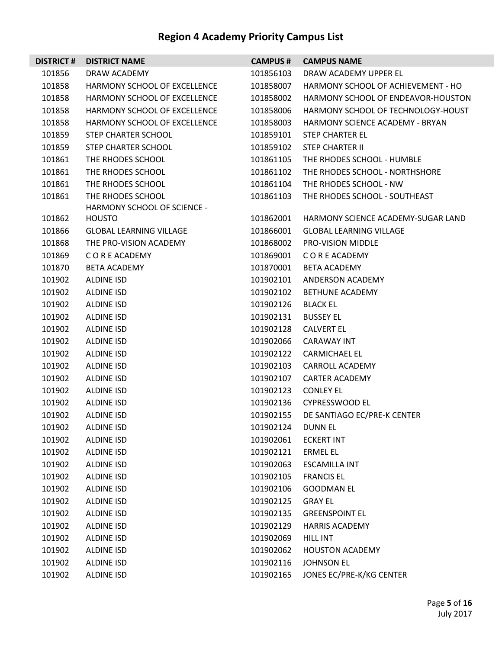| <b>DISTRICT#</b> | <b>DISTRICT NAME</b>           | <b>CAMPUS#</b> | <b>CAMPUS NAME</b>                 |
|------------------|--------------------------------|----------------|------------------------------------|
| 101856           | DRAW ACADEMY                   | 101856103      | DRAW ACADEMY UPPER EL              |
| 101858           | HARMONY SCHOOL OF EXCELLENCE   | 101858007      | HARMONY SCHOOL OF ACHIEVEMENT - HO |
| 101858           | HARMONY SCHOOL OF EXCELLENCE   | 101858002      | HARMONY SCHOOL OF ENDEAVOR-HOUSTON |
| 101858           | HARMONY SCHOOL OF EXCELLENCE   | 101858006      | HARMONY SCHOOL OF TECHNOLOGY-HOUST |
| 101858           | HARMONY SCHOOL OF EXCELLENCE   | 101858003      | HARMONY SCIENCE ACADEMY - BRYAN    |
| 101859           | STEP CHARTER SCHOOL            | 101859101      | <b>STEP CHARTER EL</b>             |
| 101859           | STEP CHARTER SCHOOL            | 101859102      | <b>STEP CHARTER II</b>             |
| 101861           | THE RHODES SCHOOL              | 101861105      | THE RHODES SCHOOL - HUMBLE         |
| 101861           | THE RHODES SCHOOL              | 101861102      | THE RHODES SCHOOL - NORTHSHORE     |
| 101861           | THE RHODES SCHOOL              | 101861104      | THE RHODES SCHOOL - NW             |
| 101861           | THE RHODES SCHOOL              | 101861103      | THE RHODES SCHOOL - SOUTHEAST      |
|                  | HARMONY SCHOOL OF SCIENCE -    |                |                                    |
| 101862           | <b>HOUSTO</b>                  | 101862001      | HARMONY SCIENCE ACADEMY-SUGAR LAND |
| 101866           | <b>GLOBAL LEARNING VILLAGE</b> | 101866001      | <b>GLOBAL LEARNING VILLAGE</b>     |
| 101868           | THE PRO-VISION ACADEMY         | 101868002      | PRO-VISION MIDDLE                  |
| 101869           | C O R E ACADEMY                | 101869001      | C O R E ACADEMY                    |
| 101870           | <b>BETA ACADEMY</b>            | 101870001      | <b>BETA ACADEMY</b>                |
| 101902           | ALDINE ISD                     | 101902101      | ANDERSON ACADEMY                   |
| 101902           | ALDINE ISD                     | 101902102      | <b>BETHUNE ACADEMY</b>             |
| 101902           | ALDINE ISD                     | 101902126      | <b>BLACK EL</b>                    |
| 101902           | ALDINE ISD                     | 101902131      | <b>BUSSEY EL</b>                   |
| 101902           | ALDINE ISD                     | 101902128      | <b>CALVERT EL</b>                  |
| 101902           | ALDINE ISD                     | 101902066      | <b>CARAWAY INT</b>                 |
| 101902           | ALDINE ISD                     | 101902122      | <b>CARMICHAEL EL</b>               |
| 101902           | ALDINE ISD                     | 101902103      | CARROLL ACADEMY                    |
| 101902           | ALDINE ISD                     | 101902107      | <b>CARTER ACADEMY</b>              |
| 101902           | ALDINE ISD                     | 101902123      | <b>CONLEY EL</b>                   |
| 101902           | ALDINE ISD                     | 101902136      | <b>CYPRESSWOOD EL</b>              |
| 101902           | ALDINE ISD                     | 101902155      | DE SANTIAGO EC/PRE-K CENTER        |
| 101902           | <b>ALDINE ISD</b>              | 101902124      | <b>DUNN EL</b>                     |
| 101902           | ALDINE ISD                     | 101902061      | <b>ECKERT INT</b>                  |
| 101902           | ALDINE ISD                     | 101902121      | <b>ERMEL EL</b>                    |
| 101902           | <b>ALDINE ISD</b>              | 101902063      | <b>ESCAMILLA INT</b>               |
| 101902           | ALDINE ISD                     | 101902105      | <b>FRANCIS EL</b>                  |
| 101902           | ALDINE ISD                     | 101902106      | <b>GOODMAN EL</b>                  |
| 101902           | ALDINE ISD                     | 101902125      | <b>GRAY EL</b>                     |
| 101902           | ALDINE ISD                     | 101902135      | <b>GREENSPOINT EL</b>              |
| 101902           | ALDINE ISD                     | 101902129      | <b>HARRIS ACADEMY</b>              |
| 101902           | ALDINE ISD                     | 101902069      | HILL INT                           |
| 101902           | ALDINE ISD                     | 101902062      | <b>HOUSTON ACADEMY</b>             |
| 101902           | ALDINE ISD                     | 101902116      | <b>JOHNSON EL</b>                  |
| 101902           | ALDINE ISD                     | 101902165      | JONES EC/PRE-K/KG CENTER           |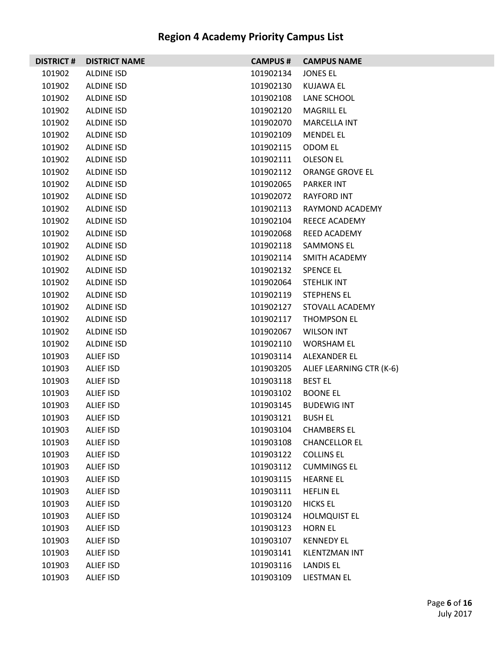|        | <b>DISTRICT # DISTRICT NAME</b> | <b>CAMPUS #</b> | <b>CAMPUS NAME</b>       |
|--------|---------------------------------|-----------------|--------------------------|
| 101902 | ALDINE ISD                      | 101902134       | <b>JONES EL</b>          |
| 101902 | ALDINE ISD                      | 101902130       | KUJAWA EL                |
| 101902 | ALDINE ISD                      | 101902108       | LANE SCHOOL              |
| 101902 | ALDINE ISD                      | 101902120       | <b>MAGRILL EL</b>        |
| 101902 | ALDINE ISD                      | 101902070       | <b>MARCELLA INT</b>      |
| 101902 | ALDINE ISD                      | 101902109       | <b>MENDEL EL</b>         |
| 101902 | ALDINE ISD                      | 101902115       | ODOM EL                  |
| 101902 | ALDINE ISD                      | 101902111       | OLESON EL                |
| 101902 | ALDINE ISD                      | 101902112       | ORANGE GROVE EL          |
| 101902 | ALDINE ISD                      | 101902065       | <b>PARKER INT</b>        |
| 101902 | ALDINE ISD                      | 101902072       | RAYFORD INT              |
| 101902 | ALDINE ISD                      | 101902113       | RAYMOND ACADEMY          |
| 101902 | ALDINE ISD                      | 101902104       | REECE ACADEMY            |
| 101902 | ALDINE ISD                      | 101902068       | REED ACADEMY             |
| 101902 | ALDINE ISD                      | 101902118       | <b>SAMMONS EL</b>        |
| 101902 | ALDINE ISD                      | 101902114       | SMITH ACADEMY            |
| 101902 | ALDINE ISD                      | 101902132       | <b>SPENCE EL</b>         |
| 101902 | ALDINE ISD                      | 101902064       | <b>STEHLIK INT</b>       |
| 101902 | ALDINE ISD                      | 101902119       | <b>STEPHENS EL</b>       |
| 101902 | ALDINE ISD                      | 101902127       | STOVALL ACADEMY          |
| 101902 | ALDINE ISD                      | 101902117       | THOMPSON EL              |
| 101902 | ALDINE ISD                      | 101902067       | <b>WILSON INT</b>        |
| 101902 | ALDINE ISD                      | 101902110       | <b>WORSHAM EL</b>        |
| 101903 | ALIEF ISD                       | 101903114       | ALEXANDER EL             |
| 101903 | ALIEF ISD                       | 101903205       | ALIEF LEARNING CTR (K-6) |
| 101903 | ALIEF ISD                       | 101903118       | <b>BEST EL</b>           |
| 101903 | ALIEF ISD                       | 101903102       | <b>BOONE EL</b>          |
| 101903 | ALIEF ISD                       | 101903145       | <b>BUDEWIG INT</b>       |
| 101903 | ALIEF ISD                       | 101903121       | <b>BUSH EL</b>           |
| 101903 | <b>ALIEF ISD</b>                | 101903104       | <b>CHAMBERS EL</b>       |
| 101903 | ALIEF ISD                       | 101903108       | <b>CHANCELLOR EL</b>     |
| 101903 | <b>ALIEF ISD</b>                | 101903122       | <b>COLLINS EL</b>        |
| 101903 | <b>ALIEF ISD</b>                | 101903112       | <b>CUMMINGS EL</b>       |
| 101903 | ALIEF ISD                       | 101903115       | <b>HEARNE EL</b>         |
| 101903 | ALIEF ISD                       | 101903111       | <b>HEFLIN EL</b>         |
| 101903 | <b>ALIEF ISD</b>                | 101903120       | <b>HICKS EL</b>          |
| 101903 | <b>ALIEF ISD</b>                | 101903124       | <b>HOLMQUIST EL</b>      |
| 101903 | ALIEF ISD                       | 101903123       | <b>HORN EL</b>           |
| 101903 | ALIEF ISD                       | 101903107       | <b>KENNEDY EL</b>        |
| 101903 | <b>ALIEF ISD</b>                | 101903141       | <b>KLENTZMAN INT</b>     |
| 101903 | <b>ALIEF ISD</b>                | 101903116       | <b>LANDIS EL</b>         |
| 101903 | <b>ALIEF ISD</b>                | 101903109       | LIESTMAN EL              |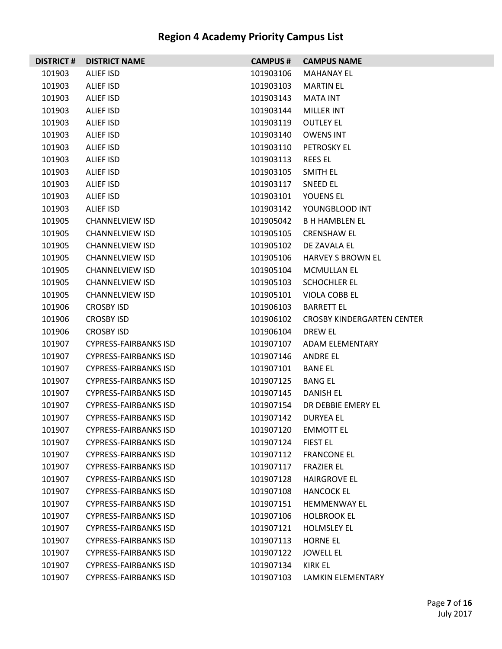| <b>DISTRICT #</b> | <b>DISTRICT NAME</b>         | <b>CAMPUS #</b> | <b>CAMPUS NAME</b>                |
|-------------------|------------------------------|-----------------|-----------------------------------|
| 101903            | ALIEF ISD                    | 101903106       | <b>MAHANAY EL</b>                 |
| 101903            | ALIEF ISD                    | 101903103       | <b>MARTIN EL</b>                  |
| 101903            | ALIEF ISD                    | 101903143       | MATA INT                          |
| 101903            | ALIEF ISD                    | 101903144       | MILLER INT                        |
| 101903            | ALIEF ISD                    | 101903119       | <b>OUTLEY EL</b>                  |
| 101903            | ALIEF ISD                    | 101903140       | <b>OWENS INT</b>                  |
| 101903            | ALIEF ISD                    | 101903110       | <b>PETROSKY EL</b>                |
| 101903            | ALIEF ISD                    | 101903113       | <b>REES EL</b>                    |
| 101903            | ALIEF ISD                    | 101903105       | SMITH EL                          |
| 101903            | ALIEF ISD                    | 101903117       | <b>SNEED EL</b>                   |
| 101903            | ALIEF ISD                    | 101903101       | YOUENS EL                         |
| 101903            | ALIEF ISD                    | 101903142       | YOUNGBLOOD INT                    |
| 101905            | <b>CHANNELVIEW ISD</b>       | 101905042       | <b>BH HAMBLEN EL</b>              |
| 101905            | <b>CHANNELVIEW ISD</b>       | 101905105       | <b>CRENSHAW EL</b>                |
| 101905            | <b>CHANNELVIEW ISD</b>       | 101905102       | DE ZAVALA EL                      |
| 101905            | <b>CHANNELVIEW ISD</b>       | 101905106       | <b>HARVEY S BROWN EL</b>          |
| 101905            | <b>CHANNELVIEW ISD</b>       | 101905104       | <b>MCMULLAN EL</b>                |
| 101905            | <b>CHANNELVIEW ISD</b>       | 101905103       | <b>SCHOCHLER EL</b>               |
| 101905            | <b>CHANNELVIEW ISD</b>       | 101905101       | VIOLA COBB EL                     |
| 101906            | <b>CROSBY ISD</b>            | 101906103       | <b>BARRETT EL</b>                 |
| 101906            | <b>CROSBY ISD</b>            | 101906102       | <b>CROSBY KINDERGARTEN CENTER</b> |
| 101906            | <b>CROSBY ISD</b>            | 101906104       | DREW EL                           |
| 101907            | <b>CYPRESS-FAIRBANKS ISD</b> | 101907107       | ADAM ELEMENTARY                   |
| 101907            | <b>CYPRESS-FAIRBANKS ISD</b> | 101907146       | ANDRE EL                          |
| 101907            | <b>CYPRESS-FAIRBANKS ISD</b> | 101907101       | <b>BANE EL</b>                    |
| 101907            | <b>CYPRESS-FAIRBANKS ISD</b> | 101907125       | <b>BANG EL</b>                    |
| 101907            | <b>CYPRESS-FAIRBANKS ISD</b> | 101907145       | <b>DANISH EL</b>                  |
| 101907            | <b>CYPRESS-FAIRBANKS ISD</b> | 101907154       | DR DEBBIE EMERY EL                |
| 101907            | <b>CYPRESS-FAIRBANKS ISD</b> | 101907142       | <b>DURYEA EL</b>                  |
| 101907            | <b>CYPRESS-FAIRBANKS ISD</b> | 101907120       | <b>EMMOTT EL</b>                  |
| 101907            | <b>CYPRESS-FAIRBANKS ISD</b> | 101907124       | <b>FIEST EL</b>                   |
| 101907            | <b>CYPRESS-FAIRBANKS ISD</b> | 101907112       | <b>FRANCONE EL</b>                |
| 101907            | <b>CYPRESS-FAIRBANKS ISD</b> | 101907117       | <b>FRAZIER EL</b>                 |
| 101907            | <b>CYPRESS-FAIRBANKS ISD</b> | 101907128       | <b>HAIRGROVE EL</b>               |
| 101907            | <b>CYPRESS-FAIRBANKS ISD</b> | 101907108       | <b>HANCOCK EL</b>                 |
| 101907            | <b>CYPRESS-FAIRBANKS ISD</b> | 101907151       | <b>HEMMENWAY EL</b>               |
| 101907            | <b>CYPRESS-FAIRBANKS ISD</b> | 101907106       | <b>HOLBROOK EL</b>                |
| 101907            | <b>CYPRESS-FAIRBANKS ISD</b> | 101907121       | <b>HOLMSLEY EL</b>                |
| 101907            | <b>CYPRESS-FAIRBANKS ISD</b> | 101907113       | <b>HORNE EL</b>                   |
| 101907            | <b>CYPRESS-FAIRBANKS ISD</b> | 101907122       | <b>JOWELL EL</b>                  |
| 101907            | <b>CYPRESS-FAIRBANKS ISD</b> | 101907134       | KIRK EL                           |
| 101907            | <b>CYPRESS-FAIRBANKS ISD</b> | 101907103       | LAMKIN ELEMENTARY                 |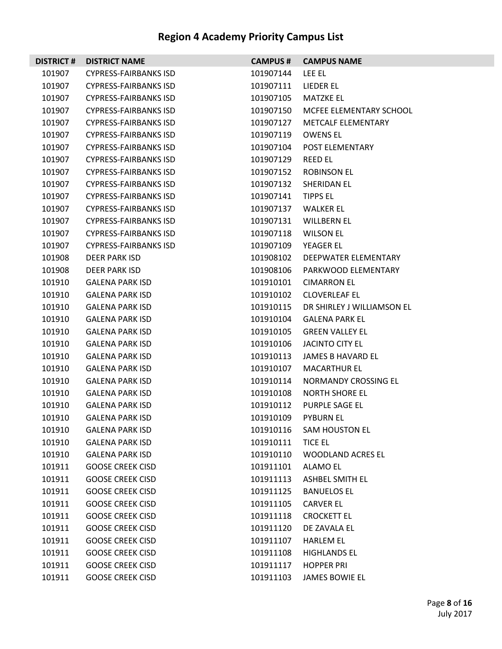| <b>DISTRICT#</b> | <b>DISTRICT NAME</b>         | <b>CAMPUS #</b> | <b>CAMPUS NAME</b>         |
|------------------|------------------------------|-----------------|----------------------------|
| 101907           | <b>CYPRESS-FAIRBANKS ISD</b> | 101907144       | LEE EL                     |
| 101907           | <b>CYPRESS-FAIRBANKS ISD</b> | 101907111       | LIEDER EL                  |
| 101907           | <b>CYPRESS-FAIRBANKS ISD</b> | 101907105       | <b>MATZKE EL</b>           |
| 101907           | <b>CYPRESS-FAIRBANKS ISD</b> | 101907150       | MCFEE ELEMENTARY SCHOOL    |
| 101907           | <b>CYPRESS-FAIRBANKS ISD</b> | 101907127       | <b>METCALF ELEMENTARY</b>  |
| 101907           | <b>CYPRESS-FAIRBANKS ISD</b> | 101907119       | <b>OWENS EL</b>            |
| 101907           | <b>CYPRESS-FAIRBANKS ISD</b> | 101907104       | POST ELEMENTARY            |
| 101907           | <b>CYPRESS-FAIRBANKS ISD</b> | 101907129       | <b>REED EL</b>             |
| 101907           | <b>CYPRESS-FAIRBANKS ISD</b> | 101907152       | <b>ROBINSON EL</b>         |
| 101907           | <b>CYPRESS-FAIRBANKS ISD</b> | 101907132       | SHERIDAN EL                |
| 101907           | <b>CYPRESS-FAIRBANKS ISD</b> | 101907141       | <b>TIPPS EL</b>            |
| 101907           | <b>CYPRESS-FAIRBANKS ISD</b> | 101907137       | <b>WALKER EL</b>           |
| 101907           | <b>CYPRESS-FAIRBANKS ISD</b> | 101907131       | <b>WILLBERN EL</b>         |
| 101907           | <b>CYPRESS-FAIRBANKS ISD</b> | 101907118       | <b>WILSON EL</b>           |
| 101907           | <b>CYPRESS-FAIRBANKS ISD</b> | 101907109       | YEAGER EL                  |
| 101908           | <b>DEER PARK ISD</b>         | 101908102       | DEEPWATER ELEMENTARY       |
| 101908           | <b>DEER PARK ISD</b>         | 101908106       | PARKWOOD ELEMENTARY        |
| 101910           | <b>GALENA PARK ISD</b>       | 101910101       | <b>CIMARRON EL</b>         |
| 101910           | <b>GALENA PARK ISD</b>       | 101910102       | <b>CLOVERLEAF EL</b>       |
| 101910           | <b>GALENA PARK ISD</b>       | 101910115       | DR SHIRLEY J WILLIAMSON EL |
| 101910           | <b>GALENA PARK ISD</b>       | 101910104       | <b>GALENA PARK EL</b>      |
| 101910           | <b>GALENA PARK ISD</b>       | 101910105       | <b>GREEN VALLEY EL</b>     |
| 101910           | <b>GALENA PARK ISD</b>       | 101910106       | <b>JACINTO CITY EL</b>     |
| 101910           | <b>GALENA PARK ISD</b>       | 101910113       | JAMES B HAVARD EL          |
| 101910           | <b>GALENA PARK ISD</b>       | 101910107       | <b>MACARTHUR EL</b>        |
| 101910           | <b>GALENA PARK ISD</b>       | 101910114       | NORMANDY CROSSING EL       |
| 101910           | <b>GALENA PARK ISD</b>       | 101910108       | <b>NORTH SHORE EL</b>      |
| 101910           | <b>GALENA PARK ISD</b>       | 101910112       | <b>PURPLE SAGE EL</b>      |
| 101910           | <b>GALENA PARK ISD</b>       | 101910109       | <b>PYBURN EL</b>           |
| 101910           | <b>GALENA PARK ISD</b>       | 101910116       | <b>SAM HOUSTON EL</b>      |
| 101910           | <b>GALENA PARK ISD</b>       | 101910111       | <b>TICE EL</b>             |
| 101910           | <b>GALENA PARK ISD</b>       | 101910110       | <b>WOODLAND ACRES EL</b>   |
| 101911           | <b>GOOSE CREEK CISD</b>      | 101911101       | <b>ALAMO EL</b>            |
| 101911           | <b>GOOSE CREEK CISD</b>      | 101911113       | ASHBEL SMITH EL            |
| 101911           | <b>GOOSE CREEK CISD</b>      | 101911125       | <b>BANUELOS EL</b>         |
| 101911           | <b>GOOSE CREEK CISD</b>      | 101911105       | <b>CARVER EL</b>           |
| 101911           | <b>GOOSE CREEK CISD</b>      | 101911118       | <b>CROCKETT EL</b>         |
| 101911           | <b>GOOSE CREEK CISD</b>      | 101911120       | DE ZAVALA EL               |
| 101911           | <b>GOOSE CREEK CISD</b>      | 101911107       | <b>HARLEM EL</b>           |
| 101911           | <b>GOOSE CREEK CISD</b>      | 101911108       | <b>HIGHLANDS EL</b>        |
| 101911           | <b>GOOSE CREEK CISD</b>      | 101911117       | <b>HOPPER PRI</b>          |
| 101911           | <b>GOOSE CREEK CISD</b>      | 101911103       | JAMES BOWIE EL             |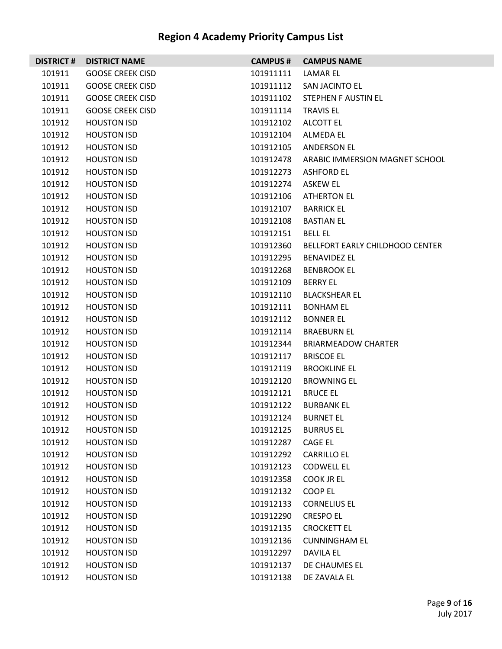| <b>DISTRICT#</b> | <b>DISTRICT NAME</b>    | <b>CAMPUS#</b> | <b>CAMPUS NAME</b>              |
|------------------|-------------------------|----------------|---------------------------------|
| 101911           | <b>GOOSE CREEK CISD</b> | 101911111      | LAMAR EL                        |
| 101911           | <b>GOOSE CREEK CISD</b> | 101911112      | SAN JACINTO EL                  |
| 101911           | <b>GOOSE CREEK CISD</b> | 101911102      | STEPHEN F AUSTIN EL             |
| 101911           | <b>GOOSE CREEK CISD</b> | 101911114      | <b>TRAVIS EL</b>                |
| 101912           | <b>HOUSTON ISD</b>      | 101912102      | ALCOTT EL                       |
| 101912           | <b>HOUSTON ISD</b>      | 101912104      | <b>ALMEDA EL</b>                |
| 101912           | <b>HOUSTON ISD</b>      | 101912105      | <b>ANDERSON EL</b>              |
| 101912           | <b>HOUSTON ISD</b>      | 101912478      | ARABIC IMMERSION MAGNET SCHOOL  |
| 101912           | <b>HOUSTON ISD</b>      | 101912273      | <b>ASHFORD EL</b>               |
| 101912           | <b>HOUSTON ISD</b>      | 101912274      | <b>ASKEW EL</b>                 |
| 101912           | <b>HOUSTON ISD</b>      | 101912106      | <b>ATHERTON EL</b>              |
| 101912           | <b>HOUSTON ISD</b>      | 101912107      | <b>BARRICK EL</b>               |
| 101912           | <b>HOUSTON ISD</b>      | 101912108      | <b>BASTIAN EL</b>               |
| 101912           | <b>HOUSTON ISD</b>      | 101912151      | <b>BELL EL</b>                  |
| 101912           | <b>HOUSTON ISD</b>      | 101912360      | BELLFORT EARLY CHILDHOOD CENTER |
| 101912           | <b>HOUSTON ISD</b>      | 101912295      | <b>BENAVIDEZ EL</b>             |
| 101912           | <b>HOUSTON ISD</b>      | 101912268      | <b>BENBROOK EL</b>              |
| 101912           | <b>HOUSTON ISD</b>      | 101912109      | <b>BERRY EL</b>                 |
| 101912           | <b>HOUSTON ISD</b>      | 101912110      | <b>BLACKSHEAR EL</b>            |
| 101912           | <b>HOUSTON ISD</b>      | 101912111      | <b>BONHAM EL</b>                |
| 101912           | <b>HOUSTON ISD</b>      | 101912112      | <b>BONNER EL</b>                |
| 101912           | <b>HOUSTON ISD</b>      | 101912114      | <b>BRAEBURN EL</b>              |
| 101912           | <b>HOUSTON ISD</b>      | 101912344      | <b>BRIARMEADOW CHARTER</b>      |
| 101912           | <b>HOUSTON ISD</b>      | 101912117      | <b>BRISCOE EL</b>               |
| 101912           | <b>HOUSTON ISD</b>      | 101912119      | <b>BROOKLINE EL</b>             |
| 101912           | <b>HOUSTON ISD</b>      | 101912120      | <b>BROWNING EL</b>              |
| 101912           | <b>HOUSTON ISD</b>      | 101912121      | <b>BRUCE EL</b>                 |
| 101912           | <b>HOUSTON ISD</b>      | 101912122      | <b>BURBANK EL</b>               |
| 101912           | <b>HOUSTON ISD</b>      | 101912124      | <b>BURNET EL</b>                |
| 101912           | <b>HOUSTON ISD</b>      | 101912125      | <b>BURRUS EL</b>                |
| 101912           | <b>HOUSTON ISD</b>      | 101912287      | CAGE EL                         |
| 101912           | <b>HOUSTON ISD</b>      | 101912292      | <b>CARRILLO EL</b>              |
| 101912           | <b>HOUSTON ISD</b>      | 101912123      | <b>CODWELL EL</b>               |
| 101912           | <b>HOUSTON ISD</b>      | 101912358      | COOK JR EL                      |
| 101912           | <b>HOUSTON ISD</b>      | 101912132      | COOP EL                         |
| 101912           | <b>HOUSTON ISD</b>      | 101912133      | <b>CORNELIUS EL</b>             |
| 101912           | <b>HOUSTON ISD</b>      | 101912290      | <b>CRESPO EL</b>                |
| 101912           | <b>HOUSTON ISD</b>      | 101912135      | <b>CROCKETT EL</b>              |
| 101912           | <b>HOUSTON ISD</b>      | 101912136      | <b>CUNNINGHAM EL</b>            |
| 101912           | <b>HOUSTON ISD</b>      | 101912297      | <b>DAVILA EL</b>                |
| 101912           | <b>HOUSTON ISD</b>      | 101912137      | DE CHAUMES EL                   |
| 101912           | <b>HOUSTON ISD</b>      | 101912138      | DE ZAVALA EL                    |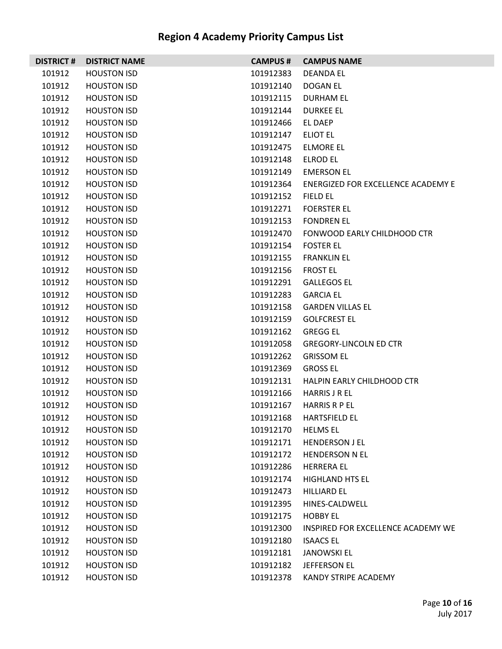| <b>DISTRICT#</b> | <b>DISTRICT NAME</b> | <b>CAMPUS#</b> | <b>CAMPUS NAME</b>                 |
|------------------|----------------------|----------------|------------------------------------|
| 101912           | <b>HOUSTON ISD</b>   | 101912383      | <b>DEANDA EL</b>                   |
| 101912           | <b>HOUSTON ISD</b>   | 101912140      | DOGAN EL                           |
| 101912           | <b>HOUSTON ISD</b>   | 101912115      | <b>DURHAM EL</b>                   |
| 101912           | <b>HOUSTON ISD</b>   | 101912144      | <b>DURKEE EL</b>                   |
| 101912           | <b>HOUSTON ISD</b>   | 101912466      | EL DAEP                            |
| 101912           | <b>HOUSTON ISD</b>   | 101912147      | ELIOT EL                           |
| 101912           | <b>HOUSTON ISD</b>   | 101912475      | <b>ELMORE EL</b>                   |
| 101912           | <b>HOUSTON ISD</b>   | 101912148      | ELROD EL                           |
| 101912           | <b>HOUSTON ISD</b>   | 101912149      | <b>EMERSON EL</b>                  |
| 101912           | <b>HOUSTON ISD</b>   | 101912364      | ENERGIZED FOR EXCELLENCE ACADEMY E |
| 101912           | <b>HOUSTON ISD</b>   | 101912152      | FIELD EL                           |
| 101912           | <b>HOUSTON ISD</b>   | 101912271      | <b>FOERSTER EL</b>                 |
| 101912           | <b>HOUSTON ISD</b>   | 101912153      | <b>FONDREN EL</b>                  |
| 101912           | <b>HOUSTON ISD</b>   | 101912470      | FONWOOD EARLY CHILDHOOD CTR        |
| 101912           | <b>HOUSTON ISD</b>   | 101912154      | <b>FOSTER EL</b>                   |
| 101912           | <b>HOUSTON ISD</b>   | 101912155      | <b>FRANKLIN EL</b>                 |
| 101912           | <b>HOUSTON ISD</b>   | 101912156      | <b>FROST EL</b>                    |
| 101912           | <b>HOUSTON ISD</b>   | 101912291      | <b>GALLEGOS EL</b>                 |
| 101912           | <b>HOUSTON ISD</b>   | 101912283      | <b>GARCIA EL</b>                   |
| 101912           | <b>HOUSTON ISD</b>   | 101912158      | <b>GARDEN VILLAS EL</b>            |
| 101912           | <b>HOUSTON ISD</b>   | 101912159      | <b>GOLFCREST EL</b>                |
| 101912           | <b>HOUSTON ISD</b>   | 101912162      | <b>GREGG EL</b>                    |
| 101912           | <b>HOUSTON ISD</b>   | 101912058      | <b>GREGORY-LINCOLN ED CTR</b>      |
| 101912           | <b>HOUSTON ISD</b>   | 101912262      | <b>GRISSOM EL</b>                  |
| 101912           | <b>HOUSTON ISD</b>   | 101912369      | <b>GROSS EL</b>                    |
| 101912           | <b>HOUSTON ISD</b>   | 101912131      | HALPIN EARLY CHILDHOOD CTR         |
| 101912           | <b>HOUSTON ISD</b>   | 101912166      | HARRIS J R EL                      |
| 101912           | <b>HOUSTON ISD</b>   | 101912167      | <b>HARRIS R P EL</b>               |
| 101912           | <b>HOUSTON ISD</b>   | 101912168      | <b>HARTSFIELD EL</b>               |
| 101912           | <b>HOUSTON ISD</b>   | 101912170      | <b>HELMS EL</b>                    |
| 101912           | <b>HOUSTON ISD</b>   | 101912171      | <b>HENDERSON J EL</b>              |
| 101912           | <b>HOUSTON ISD</b>   | 101912172      | <b>HENDERSON N EL</b>              |
| 101912           | <b>HOUSTON ISD</b>   | 101912286      | <b>HERRERA EL</b>                  |
| 101912           | <b>HOUSTON ISD</b>   | 101912174      | <b>HIGHLAND HTS EL</b>             |
| 101912           | <b>HOUSTON ISD</b>   | 101912473      | <b>HILLIARD EL</b>                 |
| 101912           | <b>HOUSTON ISD</b>   | 101912395      | HINES-CALDWELL                     |
| 101912           | <b>HOUSTON ISD</b>   | 101912175      | <b>HOBBY EL</b>                    |
| 101912           | <b>HOUSTON ISD</b>   | 101912300      | INSPIRED FOR EXCELLENCE ACADEMY WE |
| 101912           | <b>HOUSTON ISD</b>   | 101912180      | <b>ISAACS EL</b>                   |
| 101912           | <b>HOUSTON ISD</b>   | 101912181      | <b>JANOWSKI EL</b>                 |
| 101912           | <b>HOUSTON ISD</b>   | 101912182      | JEFFERSON EL                       |
| 101912           | <b>HOUSTON ISD</b>   | 101912378      | KANDY STRIPE ACADEMY               |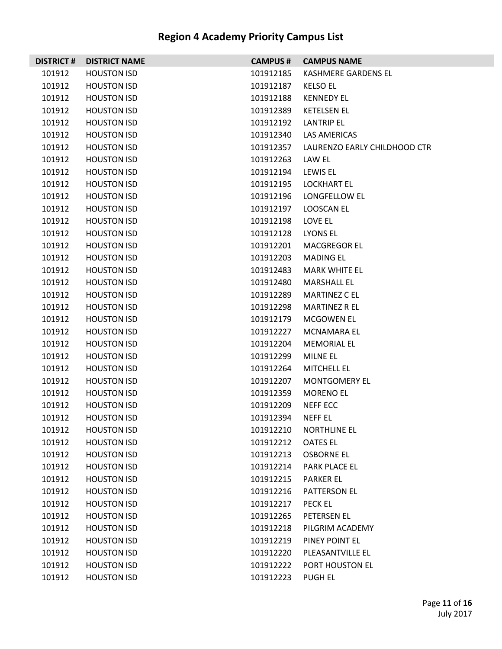| <b>DISTRICT#</b> | <b>DISTRICT NAME</b> | <b>CAMPUS#</b> | <b>CAMPUS NAME</b>           |
|------------------|----------------------|----------------|------------------------------|
| 101912           | <b>HOUSTON ISD</b>   | 101912185      | KASHMERE GARDENS EL          |
| 101912           | <b>HOUSTON ISD</b>   | 101912187      | <b>KELSO EL</b>              |
| 101912           | <b>HOUSTON ISD</b>   | 101912188      | <b>KENNEDY EL</b>            |
| 101912           | <b>HOUSTON ISD</b>   | 101912389      | <b>KETELSEN EL</b>           |
| 101912           | <b>HOUSTON ISD</b>   | 101912192      | <b>LANTRIP EL</b>            |
| 101912           | <b>HOUSTON ISD</b>   | 101912340      | LAS AMERICAS                 |
| 101912           | <b>HOUSTON ISD</b>   | 101912357      | LAURENZO EARLY CHILDHOOD CTR |
| 101912           | <b>HOUSTON ISD</b>   | 101912263      | LAW EL                       |
| 101912           | <b>HOUSTON ISD</b>   | 101912194      | <b>LEWIS EL</b>              |
| 101912           | <b>HOUSTON ISD</b>   | 101912195      | <b>LOCKHART EL</b>           |
| 101912           | <b>HOUSTON ISD</b>   | 101912196      | LONGFELLOW EL                |
| 101912           | <b>HOUSTON ISD</b>   | 101912197      | LOOSCAN EL                   |
| 101912           | <b>HOUSTON ISD</b>   | 101912198      | LOVE EL                      |
| 101912           | <b>HOUSTON ISD</b>   | 101912128      | LYONS EL                     |
| 101912           | <b>HOUSTON ISD</b>   | 101912201      | <b>MACGREGOR EL</b>          |
| 101912           | <b>HOUSTON ISD</b>   | 101912203      | MADING EL                    |
| 101912           | <b>HOUSTON ISD</b>   | 101912483      | <b>MARK WHITE EL</b>         |
| 101912           | <b>HOUSTON ISD</b>   | 101912480      | <b>MARSHALL EL</b>           |
| 101912           | <b>HOUSTON ISD</b>   | 101912289      | <b>MARTINEZ C EL</b>         |
| 101912           | <b>HOUSTON ISD</b>   | 101912298      | <b>MARTINEZ R EL</b>         |
| 101912           | <b>HOUSTON ISD</b>   | 101912179      | <b>MCGOWEN EL</b>            |
| 101912           | <b>HOUSTON ISD</b>   | 101912227      | <b>MCNAMARA EL</b>           |
| 101912           | <b>HOUSTON ISD</b>   | 101912204      | <b>MEMORIAL EL</b>           |
| 101912           | <b>HOUSTON ISD</b>   | 101912299      | <b>MILNE EL</b>              |
| 101912           | <b>HOUSTON ISD</b>   | 101912264      | <b>MITCHELL EL</b>           |
| 101912           | <b>HOUSTON ISD</b>   | 101912207      | MONTGOMERY EL                |
| 101912           | <b>HOUSTON ISD</b>   | 101912359      | <b>MORENO EL</b>             |
| 101912           | <b>HOUSTON ISD</b>   | 101912209      | <b>NEFF ECC</b>              |
| 101912           | <b>HOUSTON ISD</b>   | 101912394      | <b>NEFF EL</b>               |
| 101912           | <b>HOUSTON ISD</b>   | 101912210      | <b>NORTHLINE EL</b>          |
| 101912           | <b>HOUSTON ISD</b>   | 101912212      | <b>OATES EL</b>              |
| 101912           | <b>HOUSTON ISD</b>   | 101912213      | <b>OSBORNE EL</b>            |
| 101912           | <b>HOUSTON ISD</b>   | 101912214      | PARK PLACE EL                |
| 101912           | <b>HOUSTON ISD</b>   | 101912215      | <b>PARKER EL</b>             |
| 101912           | <b>HOUSTON ISD</b>   | 101912216      | PATTERSON EL                 |
| 101912           | <b>HOUSTON ISD</b>   | 101912217      | <b>PECK EL</b>               |
| 101912           | <b>HOUSTON ISD</b>   | 101912265      | PETERSEN EL                  |
| 101912           | <b>HOUSTON ISD</b>   | 101912218      | PILGRIM ACADEMY              |
| 101912           | <b>HOUSTON ISD</b>   | 101912219      | PINEY POINT EL               |
| 101912           | <b>HOUSTON ISD</b>   | 101912220      | PLEASANTVILLE EL             |
| 101912           | <b>HOUSTON ISD</b>   | 101912222      | PORT HOUSTON EL              |
| 101912           | <b>HOUSTON ISD</b>   | 101912223      | <b>PUGH EL</b>               |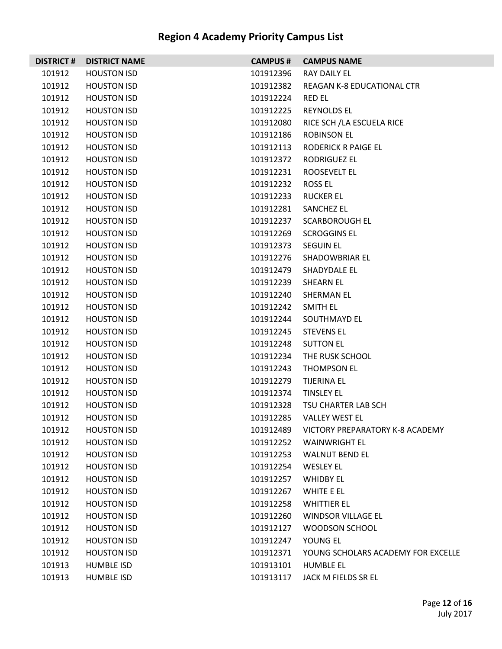| <b>DISTRICT#</b> | <b>DISTRICT NAME</b> | <b>CAMPUS#</b> | <b>CAMPUS NAME</b>                 |
|------------------|----------------------|----------------|------------------------------------|
| 101912           | <b>HOUSTON ISD</b>   | 101912396      | RAY DAILY EL                       |
| 101912           | <b>HOUSTON ISD</b>   | 101912382      | REAGAN K-8 EDUCATIONAL CTR         |
| 101912           | <b>HOUSTON ISD</b>   | 101912224      | RED EL                             |
| 101912           | <b>HOUSTON ISD</b>   | 101912225      | <b>REYNOLDS EL</b>                 |
| 101912           | <b>HOUSTON ISD</b>   | 101912080      | RICE SCH / LA ESCUELA RICE         |
| 101912           | <b>HOUSTON ISD</b>   | 101912186      | ROBINSON EL                        |
| 101912           | <b>HOUSTON ISD</b>   | 101912113      | RODERICK R PAIGE EL                |
| 101912           | <b>HOUSTON ISD</b>   | 101912372      | RODRIGUEZ EL                       |
| 101912           | <b>HOUSTON ISD</b>   | 101912231      | ROOSEVELT EL                       |
| 101912           | <b>HOUSTON ISD</b>   | 101912232      | ROSS EL                            |
| 101912           | <b>HOUSTON ISD</b>   | 101912233      | <b>RUCKER EL</b>                   |
| 101912           | <b>HOUSTON ISD</b>   | 101912281      | SANCHEZ EL                         |
| 101912           | <b>HOUSTON ISD</b>   | 101912237      | <b>SCARBOROUGH EL</b>              |
| 101912           | <b>HOUSTON ISD</b>   | 101912269      | <b>SCROGGINS EL</b>                |
| 101912           | <b>HOUSTON ISD</b>   | 101912373      | <b>SEGUIN EL</b>                   |
| 101912           | <b>HOUSTON ISD</b>   | 101912276      | SHADOWBRIAR EL                     |
| 101912           | <b>HOUSTON ISD</b>   | 101912479      | SHADYDALE EL                       |
| 101912           | <b>HOUSTON ISD</b>   | 101912239      | <b>SHEARN EL</b>                   |
| 101912           | <b>HOUSTON ISD</b>   | 101912240      | SHERMAN EL                         |
| 101912           | <b>HOUSTON ISD</b>   | 101912242      | SMITH EL                           |
| 101912           | <b>HOUSTON ISD</b>   | 101912244      | SOUTHMAYD EL                       |
| 101912           | <b>HOUSTON ISD</b>   | 101912245      | <b>STEVENS EL</b>                  |
| 101912           | <b>HOUSTON ISD</b>   | 101912248      | <b>SUTTON EL</b>                   |
| 101912           | <b>HOUSTON ISD</b>   | 101912234      | THE RUSK SCHOOL                    |
| 101912           | <b>HOUSTON ISD</b>   | 101912243      | THOMPSON EL                        |
| 101912           | <b>HOUSTON ISD</b>   | 101912279      | <b>TIJERINA EL</b>                 |
| 101912           | <b>HOUSTON ISD</b>   | 101912374      | <b>TINSLEY EL</b>                  |
| 101912           | <b>HOUSTON ISD</b>   | 101912328      | TSU CHARTER LAB SCH                |
| 101912           | <b>HOUSTON ISD</b>   | 101912285      | <b>VALLEY WEST EL</b>              |
| 101912           | <b>HOUSTON ISD</b>   | 101912489      | VICTORY PREPARATORY K-8 ACADEMY    |
| 101912           | <b>HOUSTON ISD</b>   | 101912252      | <b>WAINWRIGHT EL</b>               |
| 101912           | <b>HOUSTON ISD</b>   | 101912253      | <b>WALNUT BEND EL</b>              |
| 101912           | <b>HOUSTON ISD</b>   | 101912254      | <b>WESLEY EL</b>                   |
| 101912           | <b>HOUSTON ISD</b>   | 101912257      | <b>WHIDBY EL</b>                   |
| 101912           | <b>HOUSTON ISD</b>   | 101912267      | WHITE E EL                         |
| 101912           | <b>HOUSTON ISD</b>   | 101912258      | <b>WHITTIER EL</b>                 |
| 101912           | <b>HOUSTON ISD</b>   | 101912260      | <b>WINDSOR VILLAGE EL</b>          |
| 101912           | <b>HOUSTON ISD</b>   | 101912127      | WOODSON SCHOOL                     |
| 101912           | <b>HOUSTON ISD</b>   | 101912247      | YOUNG EL                           |
| 101912           | <b>HOUSTON ISD</b>   | 101912371      | YOUNG SCHOLARS ACADEMY FOR EXCELLE |
| 101913           | <b>HUMBLE ISD</b>    | 101913101      | <b>HUMBLE EL</b>                   |
| 101913           | <b>HUMBLE ISD</b>    | 101913117      | JACK M FIELDS SR EL                |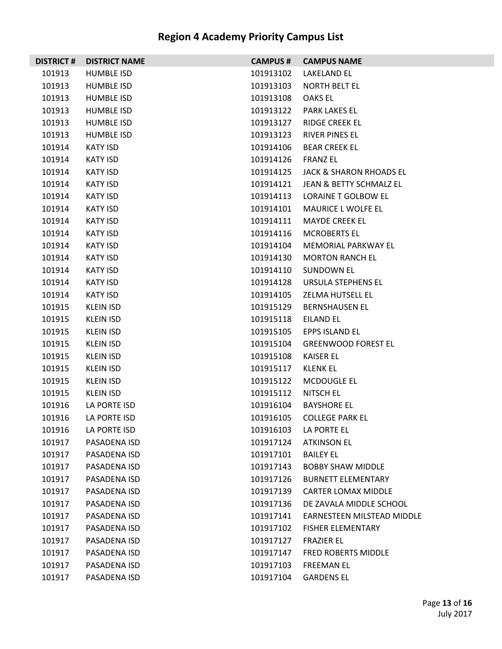| <b>DISTRICT #</b> | <b>DISTRICT NAME</b> |                    | <b>CAMPUS # CAMPUS NAME</b>        |
|-------------------|----------------------|--------------------|------------------------------------|
| 101913            | <b>HUMBLE ISD</b>    | 101913102          | LAKELAND EL                        |
| 101913            | HUMBLE ISD           | 101913103          | NORTH BELT EL                      |
| 101913            | <b>HUMBLE ISD</b>    | 101913108          | OAKS EL                            |
| 101913            | HUMBLE ISD           |                    | 101913122 PARK LAKES EL            |
| 101913            | HUMBLE ISD           | 101913127          | <b>RIDGE CREEK EL</b>              |
| 101913            | HUMBLE ISD           | 101913123          | <b>RIVER PINES EL</b>              |
| 101914            | <b>KATY ISD</b>      | 101914106          | <b>BEAR CREEK EL</b>               |
| 101914            | <b>KATY ISD</b>      | 101914126 FRANZ EL |                                    |
| 101914            | <b>KATY ISD</b>      | 101914125          | <b>JACK &amp; SHARON RHOADS EL</b> |
| 101914            | <b>KATY ISD</b>      | 101914121          | JEAN & BETTY SCHMALZ EL            |
| 101914            | <b>KATY ISD</b>      | 101914113          | LORAINE T GOLBOW EL                |
| 101914            | <b>KATY ISD</b>      | 101914101          | MAURICE L WOLFE EL                 |
| 101914            | <b>KATY ISD</b>      | 101914111          | <b>MAYDE CREEK EL</b>              |
| 101914            | <b>KATY ISD</b>      | 101914116          | <b>MCROBERTS EL</b>                |
| 101914            | <b>KATY ISD</b>      | 101914104          | MEMORIAL PARKWAY EL                |
| 101914            | <b>KATY ISD</b>      | 101914130          | <b>MORTON RANCH EL</b>             |
| 101914            | <b>KATY ISD</b>      | 101914110          | <b>SUNDOWN EL</b>                  |
| 101914            | <b>KATY ISD</b>      |                    | 101914128 URSULA STEPHENS EL       |
| 101914            | <b>KATY ISD</b>      | 101914105          | ZELMA HUTSELL EL                   |
| 101915            | KLEIN ISD            |                    | 101915129 BERNSHAUSEN EL           |
| 101915            | <b>KLEIN ISD</b>     | 101915118          | EILAND EL                          |
| 101915            | KLEIN ISD            | 101915105          | EPPS ISLAND EL                     |
| 101915            | <b>KLEIN ISD</b>     | 101915104          | <b>GREENWOOD FOREST EL</b>         |
| 101915            | KLEIN ISD            | 101915108          | KAISER EL                          |
| 101915            | KLEIN ISD            | 101915117          | KLENK EL                           |
| 101915            | KLEIN ISD            | 101915122          | MCDOUGLE EL                        |
| 101915            | <b>KLEIN ISD</b>     | 101915112          | NITSCH EL                          |
| 101916            | LA PORTE ISD         | 101916104          | <b>BAYSHORE EL</b>                 |
| 101916            | LA PORTE ISD         | 101916105          | <b>COLLEGE PARK EL</b>             |
| 101916            | LA PORTE ISD         |                    | 101916103 LA PORTE EL              |
| 101917            | PASADENA ISD         | 101917124          | <b>ATKINSON EL</b>                 |
| 101917            | PASADENA ISD         | 101917101          | <b>BAILEY EL</b>                   |
| 101917            | PASADENA ISD         | 101917143          | <b>BOBBY SHAW MIDDLE</b>           |
| 101917            | PASADENA ISD         | 101917126          | <b>BURNETT ELEMENTARY</b>          |
| 101917            | PASADENA ISD         | 101917139          | <b>CARTER LOMAX MIDDLE</b>         |
| 101917            | PASADENA ISD         | 101917136          | DE ZAVALA MIDDLE SCHOOL            |
| 101917            | PASADENA ISD         | 101917141          | <b>EARNESTEEN MILSTEAD MIDDLE</b>  |
| 101917            | PASADENA ISD         | 101917102          | <b>FISHER ELEMENTARY</b>           |
| 101917            | PASADENA ISD         | 101917127          | <b>FRAZIER EL</b>                  |
| 101917            | PASADENA ISD         | 101917147          | <b>FRED ROBERTS MIDDLE</b>         |
| 101917            | PASADENA ISD         | 101917103          | <b>FREEMAN EL</b>                  |
| 101917            | PASADENA ISD         | 101917104          | <b>GARDENS EL</b>                  |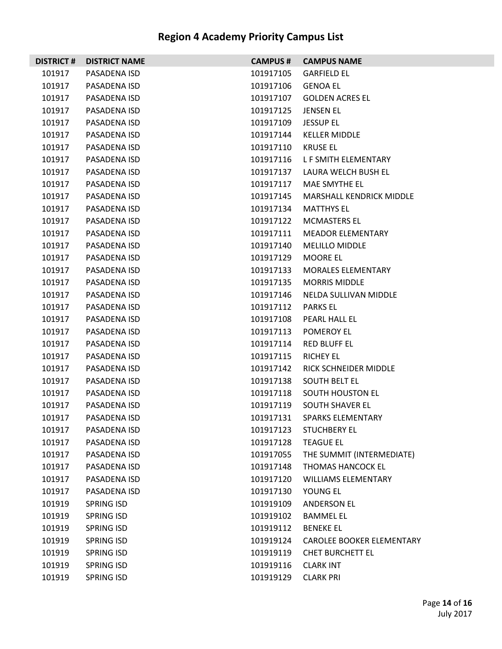| <b>DISTRICT#</b> | <b>DISTRICT NAME</b> | <b>CAMPUS #</b> | <b>CAMPUS NAME</b>         |
|------------------|----------------------|-----------------|----------------------------|
| 101917           | PASADENA ISD         | 101917105       | <b>GARFIELD EL</b>         |
| 101917           | PASADENA ISD         | 101917106       | <b>GENOA EL</b>            |
| 101917           | PASADENA ISD         | 101917107       | <b>GOLDEN ACRES EL</b>     |
| 101917           | PASADENA ISD         | 101917125       | <b>JENSEN EL</b>           |
| 101917           | PASADENA ISD         | 101917109       | <b>JESSUP EL</b>           |
| 101917           | PASADENA ISD         | 101917144       | <b>KELLER MIDDLE</b>       |
| 101917           | PASADENA ISD         | 101917110       | <b>KRUSE EL</b>            |
| 101917           | PASADENA ISD         | 101917116       | L F SMITH ELEMENTARY       |
| 101917           | PASADENA ISD         | 101917137       | LAURA WELCH BUSH EL        |
| 101917           | PASADENA ISD         | 101917117       | MAE SMYTHE EL              |
| 101917           | PASADENA ISD         | 101917145       | MARSHALL KENDRICK MIDDLE   |
| 101917           | PASADENA ISD         | 101917134       | <b>MATTHYS EL</b>          |
| 101917           | PASADENA ISD         | 101917122       | MCMASTERS EL               |
| 101917           | PASADENA ISD         | 101917111       | <b>MEADOR ELEMENTARY</b>   |
| 101917           | PASADENA ISD         | 101917140       | <b>MELILLO MIDDLE</b>      |
| 101917           | PASADENA ISD         | 101917129       | <b>MOORE EL</b>            |
| 101917           | PASADENA ISD         | 101917133       | MORALES ELEMENTARY         |
| 101917           | PASADENA ISD         | 101917135       | <b>MORRIS MIDDLE</b>       |
| 101917           | PASADENA ISD         | 101917146       | NELDA SULLIVAN MIDDLE      |
| 101917           | PASADENA ISD         | 101917112       | <b>PARKS EL</b>            |
| 101917           | PASADENA ISD         | 101917108       | PEARL HALL EL              |
| 101917           | PASADENA ISD         | 101917113       | POMEROY EL                 |
| 101917           | PASADENA ISD         | 101917114       | <b>RED BLUFF EL</b>        |
| 101917           | PASADENA ISD         | 101917115       | <b>RICHEY EL</b>           |
| 101917           | PASADENA ISD         | 101917142       | RICK SCHNEIDER MIDDLE      |
| 101917           | PASADENA ISD         | 101917138       | <b>SOUTH BELT EL</b>       |
| 101917           | PASADENA ISD         | 101917118       | <b>SOUTH HOUSTON EL</b>    |
| 101917           | PASADENA ISD         | 101917119       | SOUTH SHAVER EL            |
| 101917           | PASADENA ISD         | 101917131       | <b>SPARKS ELEMENTARY</b>   |
| 101917           | PASADENA ISD         | 101917123       | <b>STUCHBERY EL</b>        |
| 101917           | PASADENA ISD         | 101917128       | <b>TEAGUE EL</b>           |
| 101917           | PASADENA ISD         | 101917055       | THE SUMMIT (INTERMEDIATE)  |
| 101917           | PASADENA ISD         | 101917148       | THOMAS HANCOCK EL          |
| 101917           | PASADENA ISD         | 101917120       | <b>WILLIAMS ELEMENTARY</b> |
| 101917           | PASADENA ISD         | 101917130       | YOUNG EL                   |
| 101919           | <b>SPRING ISD</b>    | 101919109       | <b>ANDERSON EL</b>         |
| 101919           | SPRING ISD           | 101919102       | <b>BAMMEL EL</b>           |
| 101919           | <b>SPRING ISD</b>    | 101919112       | <b>BENEKE EL</b>           |
| 101919           | <b>SPRING ISD</b>    | 101919124       | CAROLEE BOOKER ELEMENTARY  |
| 101919           | <b>SPRING ISD</b>    | 101919119       | <b>CHET BURCHETT EL</b>    |
| 101919           | <b>SPRING ISD</b>    | 101919116       | <b>CLARK INT</b>           |
| 101919           | <b>SPRING ISD</b>    | 101919129       | <b>CLARK PRI</b>           |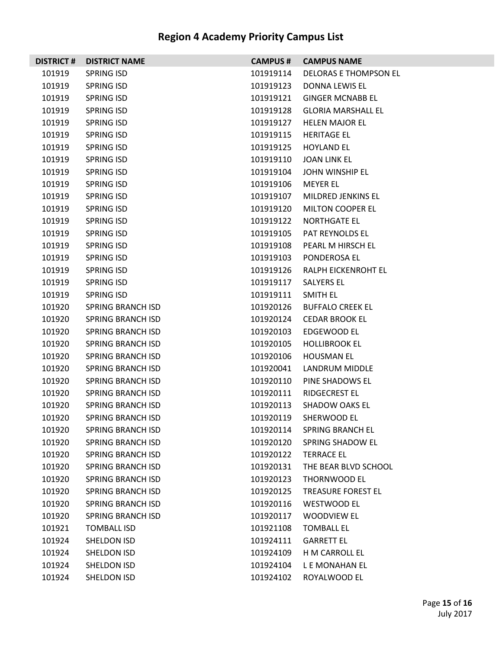| <b>DISTRICT #</b> | <b>DISTRICT NAME</b>     | <b>CAMPUS #</b> | <b>CAMPUS NAME</b>           |
|-------------------|--------------------------|-----------------|------------------------------|
| 101919            | <b>SPRING ISD</b>        | 101919114       | <b>DELORAS E THOMPSON EL</b> |
| 101919            | <b>SPRING ISD</b>        | 101919123       | DONNA LEWIS EL               |
| 101919            | SPRING ISD               | 101919121       | <b>GINGER MCNABB EL</b>      |
| 101919            | SPRING ISD               | 101919128       | <b>GLORIA MARSHALL EL</b>    |
| 101919            | SPRING ISD               | 101919127       | <b>HELEN MAJOR EL</b>        |
| 101919            | <b>SPRING ISD</b>        | 101919115       | <b>HERITAGE EL</b>           |
| 101919            | SPRING ISD               | 101919125       | <b>HOYLAND EL</b>            |
| 101919            | SPRING ISD               | 101919110       | JOAN LINK EL                 |
| 101919            | SPRING ISD               | 101919104       | JOHN WINSHIP EL              |
| 101919            | <b>SPRING ISD</b>        | 101919106       | <b>MEYER EL</b>              |
| 101919            | SPRING ISD               | 101919107       | MILDRED JENKINS EL           |
| 101919            | SPRING ISD               | 101919120       | <b>MILTON COOPER EL</b>      |
| 101919            | <b>SPRING ISD</b>        | 101919122       | <b>NORTHGATE EL</b>          |
| 101919            | <b>SPRING ISD</b>        | 101919105       | PAT REYNOLDS EL              |
| 101919            | SPRING ISD               | 101919108       | PEARL M HIRSCH EL            |
| 101919            | SPRING ISD               | 101919103       | PONDEROSA EL                 |
| 101919            | SPRING ISD               | 101919126       | RALPH EICKENROHT EL          |
| 101919            | <b>SPRING ISD</b>        | 101919117       | SALYERS EL                   |
| 101919            | <b>SPRING ISD</b>        | 101919111       | SMITH EL                     |
| 101920            | SPRING BRANCH ISD        | 101920126       | <b>BUFFALO CREEK EL</b>      |
| 101920            | SPRING BRANCH ISD        | 101920124       | <b>CEDAR BROOK EL</b>        |
| 101920            | SPRING BRANCH ISD        | 101920103       | EDGEWOOD EL                  |
| 101920            | SPRING BRANCH ISD        | 101920105       | <b>HOLLIBROOK EL</b>         |
| 101920            | <b>SPRING BRANCH ISD</b> | 101920106       | <b>HOUSMAN EL</b>            |
| 101920            | SPRING BRANCH ISD        | 101920041       | LANDRUM MIDDLE               |
| 101920            | SPRING BRANCH ISD        | 101920110       | PINE SHADOWS EL              |
| 101920            | SPRING BRANCH ISD        | 101920111       | <b>RIDGECREST EL</b>         |
| 101920            | SPRING BRANCH ISD        | 101920113       | <b>SHADOW OAKS EL</b>        |
| 101920            | <b>SPRING BRANCH ISD</b> | 101920119       | SHERWOOD EL                  |
| 101920            | SPRING BRANCH ISD        | 101920114       | <b>SPRING BRANCH EL</b>      |
| 101920            | <b>SPRING BRANCH ISD</b> | 101920120       | SPRING SHADOW EL             |
| 101920            | <b>SPRING BRANCH ISD</b> | 101920122       | <b>TERRACE EL</b>            |
| 101920            | <b>SPRING BRANCH ISD</b> | 101920131       | THE BEAR BLVD SCHOOL         |
| 101920            | <b>SPRING BRANCH ISD</b> | 101920123       | THORNWOOD EL                 |
| 101920            | <b>SPRING BRANCH ISD</b> | 101920125       | <b>TREASURE FOREST EL</b>    |
| 101920            | <b>SPRING BRANCH ISD</b> | 101920116       | <b>WESTWOOD EL</b>           |
| 101920            | <b>SPRING BRANCH ISD</b> | 101920117       | <b>WOODVIEW EL</b>           |
| 101921            | <b>TOMBALL ISD</b>       | 101921108       | <b>TOMBALL EL</b>            |
| 101924            | SHELDON ISD              | 101924111       | <b>GARRETT EL</b>            |
| 101924            | SHELDON ISD              | 101924109       | H M CARROLL EL               |
| 101924            | SHELDON ISD              | 101924104       | L E MONAHAN EL               |
| 101924            | SHELDON ISD              | 101924102       | ROYALWOOD EL                 |